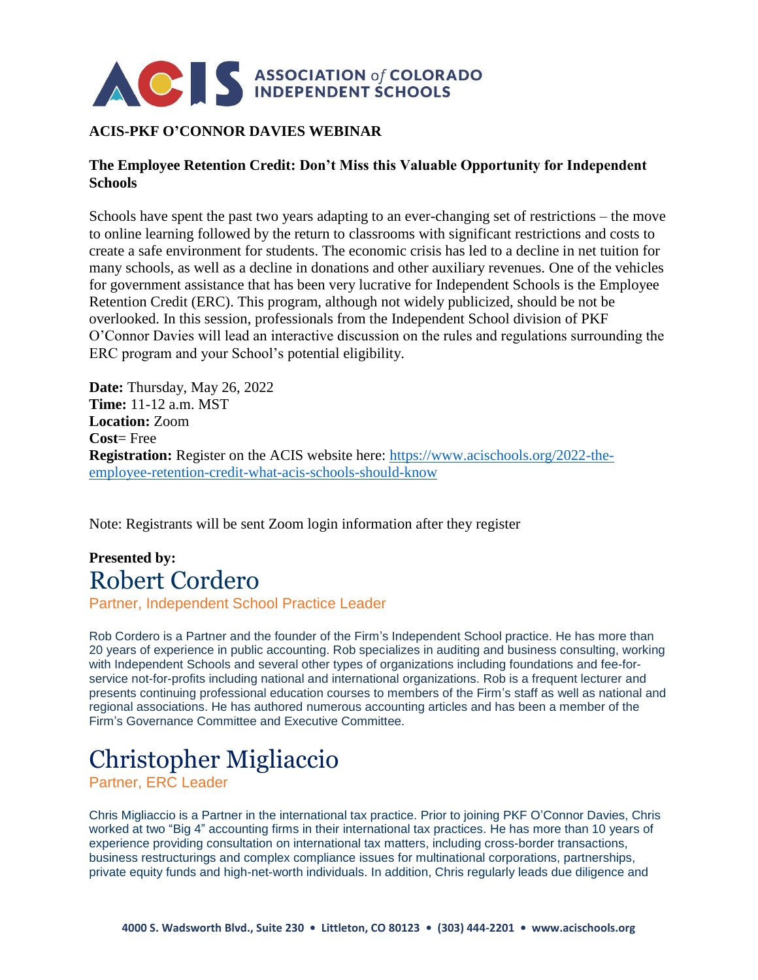

## **ACIS-PKF O'CONNOR DAVIES WEBINAR**

## **The Employee Retention Credit: Don't Miss this Valuable Opportunity for Independent Schools**

Schools have spent the past two years adapting to an ever-changing set of restrictions – the move to online learning followed by the return to classrooms with significant restrictions and costs to create a safe environment for students. The economic crisis has led to a decline in net tuition for many schools, as well as a decline in donations and other auxiliary revenues. One of the vehicles for government assistance that has been very lucrative for Independent Schools is the Employee Retention Credit (ERC). This program, although not widely publicized, should be not be overlooked. In this session, professionals from the Independent School division of PKF O'Connor Davies will lead an interactive discussion on the rules and regulations surrounding the ERC program and your School's potential eligibility.

**Date:** Thursday, May 26, 2022 **Time:** 11-12 a.m. MST **Location:** Zoom **Cost**= Free **Registration:** Register on the ACIS website here: [https://www.acischools.org/2022-the](https://www.acischools.org/2022-the-employee-retention-credit-what-acis-schools-should-know)[employee-retention-credit-what-acis-schools-should-know](https://www.acischools.org/2022-the-employee-retention-credit-what-acis-schools-should-know)

Note: Registrants will be sent Zoom login information after they register

## **Presented by:** Robert Cordero

Partner, Independent School Practice Leader

Rob Cordero is a Partner and the founder of the Firm's Independent School practice. He has more than 20 years of experience in public accounting. Rob specializes in auditing and business consulting, working with Independent Schools and several other types of organizations including foundations and fee-forservice not-for-profits including national and international organizations. Rob is a frequent lecturer and presents continuing professional education courses to members of the Firm's staff as well as national and regional associations. He has authored numerous accounting articles and has been a member of the Firm's Governance Committee and Executive Committee.

## Christopher Migliaccio

Partner, ERC Leader

Chris Migliaccio is a Partner in the international tax practice. Prior to joining PKF O'Connor Davies, Chris worked at two "Big 4" accounting firms in their international tax practices. He has more than 10 years of experience providing consultation on international tax matters, including cross-border transactions, business restructurings and complex compliance issues for multinational corporations, partnerships, private equity funds and high-net-worth individuals. In addition, Chris regularly leads due diligence and